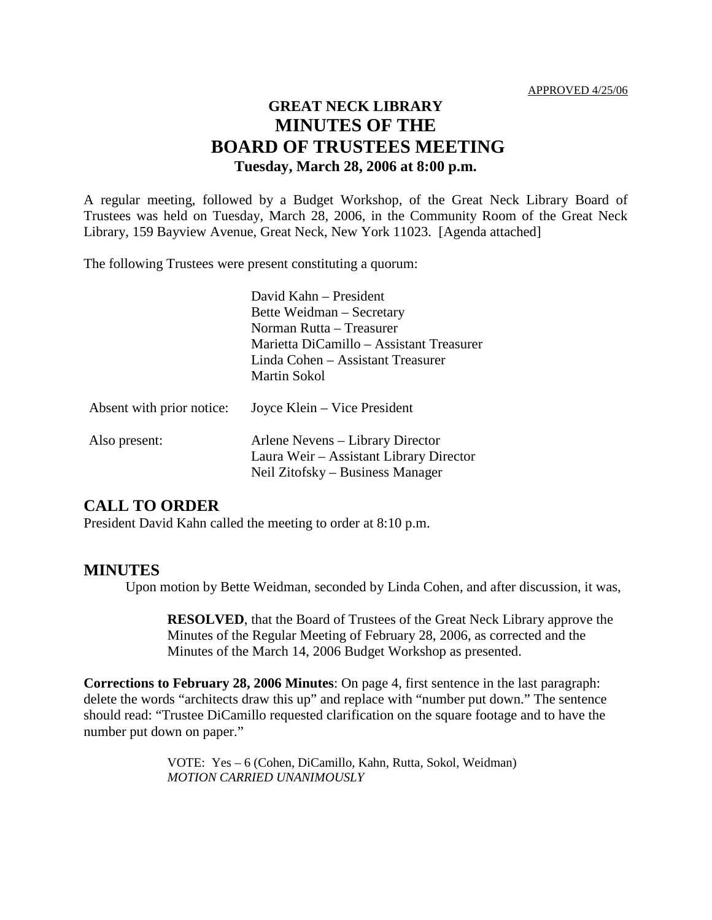# **GREAT NECK LIBRARY MINUTES OF THE BOARD OF TRUSTEES MEETING Tuesday, March 28, 2006 at 8:00 p.m.**

A regular meeting, followed by a Budget Workshop, of the Great Neck Library Board of Trustees was held on Tuesday, March 28, 2006, in the Community Room of the Great Neck Library, 159 Bayview Avenue, Great Neck, New York 11023. [Agenda attached]

The following Trustees were present constituting a quorum:

|                           | David Kahn – President<br>Bette Weidman – Secretary<br>Norman Rutta – Treasurer<br>Marietta DiCamillo – Assistant Treasurer<br>Linda Cohen – Assistant Treasurer<br>Martin Sokol |
|---------------------------|----------------------------------------------------------------------------------------------------------------------------------------------------------------------------------|
| Absent with prior notice: | Joyce Klein – Vice President                                                                                                                                                     |
| Also present:             | Arlene Nevens – Library Director<br>Laura Weir – Assistant Library Director<br>Neil Zitofsky – Business Manager                                                                  |

### **CALL TO ORDER**

President David Kahn called the meeting to order at 8:10 p.m.

### **MINUTES**

Upon motion by Bette Weidman, seconded by Linda Cohen, and after discussion, it was,

**RESOLVED**, that the Board of Trustees of the Great Neck Library approve the Minutes of the Regular Meeting of February 28, 2006, as corrected and the Minutes of the March 14, 2006 Budget Workshop as presented.

**Corrections to February 28, 2006 Minutes**: On page 4, first sentence in the last paragraph: delete the words "architects draw this up" and replace with "number put down." The sentence should read: "Trustee DiCamillo requested clarification on the square footage and to have the number put down on paper."

> VOTE:Yes – 6 (Cohen, DiCamillo, Kahn, Rutta, Sokol, Weidman) *MOTION CARRIED UNANIMOUSLY*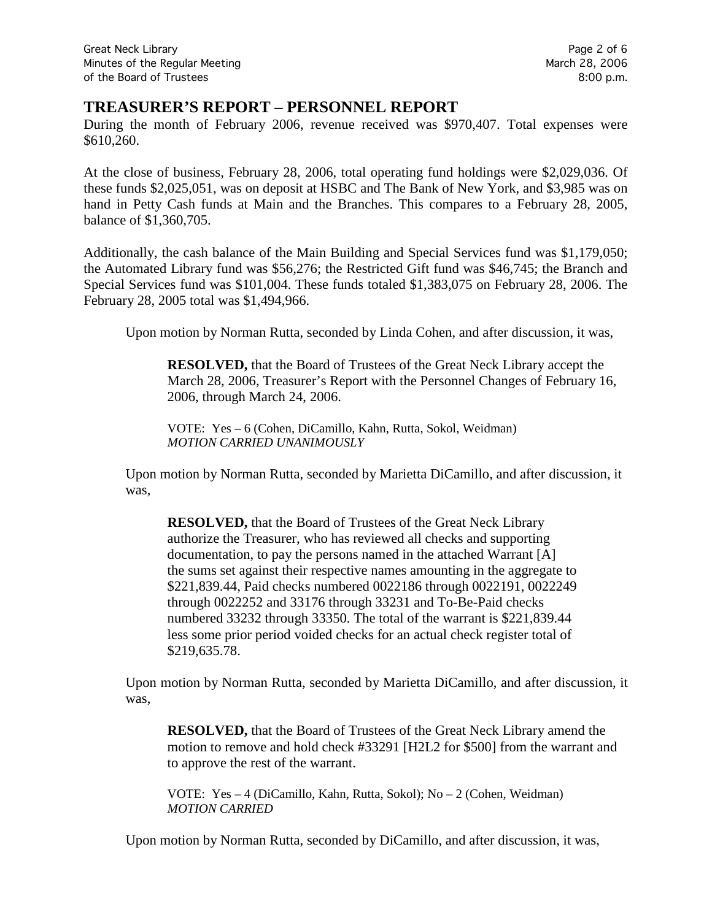### **TREASURER'S REPORT – PERSONNEL REPORT**

During the month of February 2006, revenue received was \$970,407. Total expenses were \$610,260.

At the close of business, February 28, 2006, total operating fund holdings were \$2,029,036. Of these funds \$2,025,051, was on deposit at HSBC and The Bank of New York, and \$3,985 was on hand in Petty Cash funds at Main and the Branches. This compares to a February 28, 2005, balance of \$1,360,705.

Additionally, the cash balance of the Main Building and Special Services fund was \$1,179,050; the Automated Library fund was \$56,276; the Restricted Gift fund was \$46,745; the Branch and Special Services fund was \$101,004. These funds totaled \$1,383,075 on February 28, 2006. The February 28, 2005 total was \$1,494,966.

Upon motion by Norman Rutta, seconded by Linda Cohen, and after discussion, it was,

**RESOLVED,** that the Board of Trustees of the Great Neck Library accept the March 28, 2006, Treasurer's Report with the Personnel Changes of February 16, 2006, through March 24, 2006.

VOTE:Yes – 6 (Cohen, DiCamillo, Kahn, Rutta, Sokol, Weidman) *MOTION CARRIED UNANIMOUSLY*

Upon motion by Norman Rutta, seconded by Marietta DiCamillo, and after discussion, it was,

**RESOLVED,** that the Board of Trustees of the Great Neck Library authorize the Treasurer, who has reviewed all checks and supporting documentation, to pay the persons named in the attached Warrant [A] the sums set against their respective names amounting in the aggregate to \$221,839.44, Paid checks numbered 0022186 through 0022191, 0022249 through 0022252 and 33176 through 33231 and To-Be-Paid checks numbered 33232 through 33350. The total of the warrant is \$221,839.44 less some prior period voided checks for an actual check register total of \$219,635.78.

Upon motion by Norman Rutta, seconded by Marietta DiCamillo, and after discussion, it was,

**RESOLVED,** that the Board of Trustees of the Great Neck Library amend the motion to remove and hold check #33291 [H2L2 for \$500] from the warrant and to approve the rest of the warrant.

VOTE:Yes – 4 (DiCamillo, Kahn, Rutta, Sokol); No – 2 (Cohen, Weidman) *MOTION CARRIED*

Upon motion by Norman Rutta, seconded by DiCamillo, and after discussion, it was,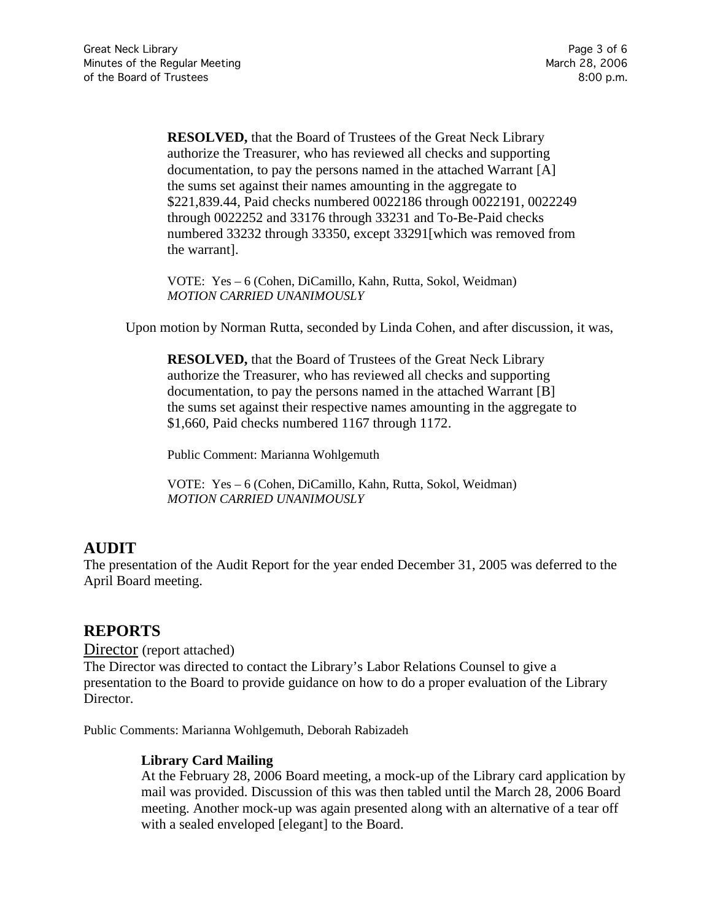**RESOLVED,** that the Board of Trustees of the Great Neck Library authorize the Treasurer, who has reviewed all checks and supporting documentation, to pay the persons named in the attached Warrant [A] the sums set against their names amounting in the aggregate to \$221,839.44, Paid checks numbered 0022186 through 0022191, 0022249 through 0022252 and 33176 through 33231 and To-Be-Paid checks numbered 33232 through 33350, except 33291[which was removed from the warrant].

VOTE:Yes – 6 (Cohen, DiCamillo, Kahn, Rutta, Sokol, Weidman) *MOTION CARRIED UNANIMOUSLY*

Upon motion by Norman Rutta, seconded by Linda Cohen, and after discussion, it was,

**RESOLVED,** that the Board of Trustees of the Great Neck Library authorize the Treasurer, who has reviewed all checks and supporting documentation, to pay the persons named in the attached Warrant [B] the sums set against their respective names amounting in the aggregate to \$1,660, Paid checks numbered 1167 through 1172.

Public Comment: Marianna Wohlgemuth

VOTE:Yes – 6 (Cohen, DiCamillo, Kahn, Rutta, Sokol, Weidman) *MOTION CARRIED UNANIMOUSLY*

# **AUDIT**

The presentation of the Audit Report for the year ended December 31, 2005 was deferred to the April Board meeting.

## **REPORTS**

Director (report attached)

The Director was directed to contact the Library's Labor Relations Counsel to give a presentation to the Board to provide guidance on how to do a proper evaluation of the Library Director.

Public Comments: Marianna Wohlgemuth, Deborah Rabizadeh

### **Library Card Mailing**

At the February 28, 2006 Board meeting, a mock-up of the Library card application by mail was provided. Discussion of this was then tabled until the March 28, 2006 Board meeting. Another mock-up was again presented along with an alternative of a tear off with a sealed enveloped [elegant] to the Board.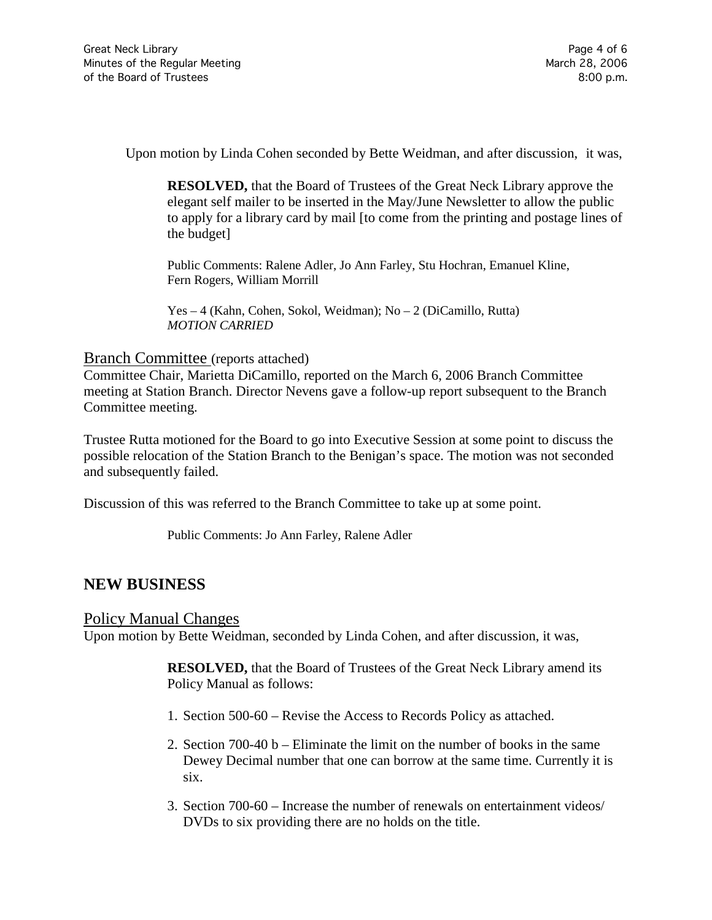Upon motion by Linda Cohen seconded by Bette Weidman, and after discussion, it was,

**RESOLVED,** that the Board of Trustees of the Great Neck Library approve the elegant self mailer to be inserted in the May/June Newsletter to allow the public to apply for a library card by mail [to come from the printing and postage lines of the budget]

Public Comments: Ralene Adler, Jo Ann Farley, Stu Hochran, Emanuel Kline, Fern Rogers, William Morrill

Yes – 4 (Kahn, Cohen, Sokol, Weidman); No – 2 (DiCamillo, Rutta) *MOTION CARRIED*

#### Branch Committee (reports attached)

Committee Chair, Marietta DiCamillo, reported on the March 6, 2006 Branch Committee meeting at Station Branch. Director Nevens gave a follow-up report subsequent to the Branch Committee meeting.

Trustee Rutta motioned for the Board to go into Executive Session at some point to discuss the possible relocation of the Station Branch to the Benigan's space. The motion was not seconded and subsequently failed.

Discussion of this was referred to the Branch Committee to take up at some point.

Public Comments: Jo Ann Farley, Ralene Adler

### **NEW BUSINESS**

### Policy Manual Changes

Upon motion by Bette Weidman, seconded by Linda Cohen, and after discussion, it was,

**RESOLVED,** that the Board of Trustees of the Great Neck Library amend its Policy Manual as follows:

- 1. Section 500-60 Revise the Access to Records Policy as attached.
- 2. Section 700-40 b Eliminate the limit on the number of books in the same Dewey Decimal number that one can borrow at the same time. Currently it is six.
- 3. Section 700-60 Increase the number of renewals on entertainment videos/ DVDs to six providing there are no holds on the title.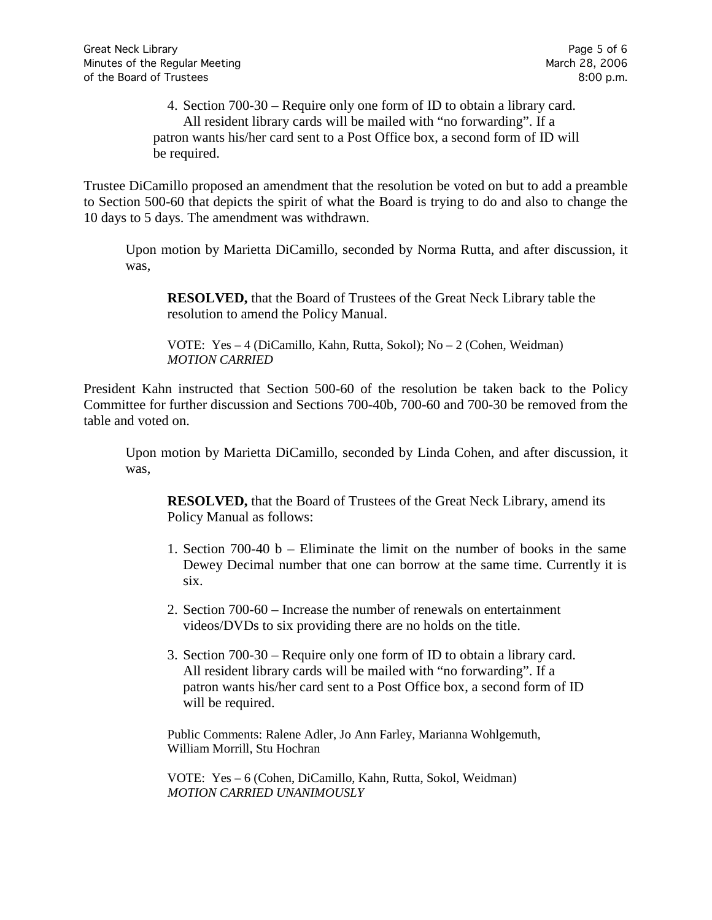4. Section 700-30 – Require only one form of ID to obtain a library card. All resident library cards will be mailed with "no forwarding". If a patron wants his/her card sent to a Post Office box, a second form of ID will be required.

Trustee DiCamillo proposed an amendment that the resolution be voted on but to add a preamble to Section 500-60 that depicts the spirit of what the Board is trying to do and also to change the 10 days to 5 days. The amendment was withdrawn.

Upon motion by Marietta DiCamillo, seconded by Norma Rutta, and after discussion, it was,

**RESOLVED,** that the Board of Trustees of the Great Neck Library table the resolution to amend the Policy Manual.

VOTE:Yes – 4 (DiCamillo, Kahn, Rutta, Sokol); No – 2 (Cohen, Weidman) *MOTION CARRIED*

President Kahn instructed that Section 500-60 of the resolution be taken back to the Policy Committee for further discussion and Sections 700-40b, 700-60 and 700-30 be removed from the table and voted on.

Upon motion by Marietta DiCamillo, seconded by Linda Cohen, and after discussion, it was,

**RESOLVED,** that the Board of Trustees of the Great Neck Library, amend its Policy Manual as follows:

- 1. Section 700-40 b Eliminate the limit on the number of books in the same Dewey Decimal number that one can borrow at the same time. Currently it is six.
- 2. Section 700-60 Increase the number of renewals on entertainment videos/DVDs to six providing there are no holds on the title.
- 3. Section 700-30 Require only one form of ID to obtain a library card. All resident library cards will be mailed with "no forwarding". If a patron wants his/her card sent to a Post Office box, a second form of ID will be required.

Public Comments: Ralene Adler, Jo Ann Farley, Marianna Wohlgemuth, William Morrill, Stu Hochran

VOTE:Yes – 6 (Cohen, DiCamillo, Kahn, Rutta, Sokol, Weidman) *MOTION CARRIED UNANIMOUSLY*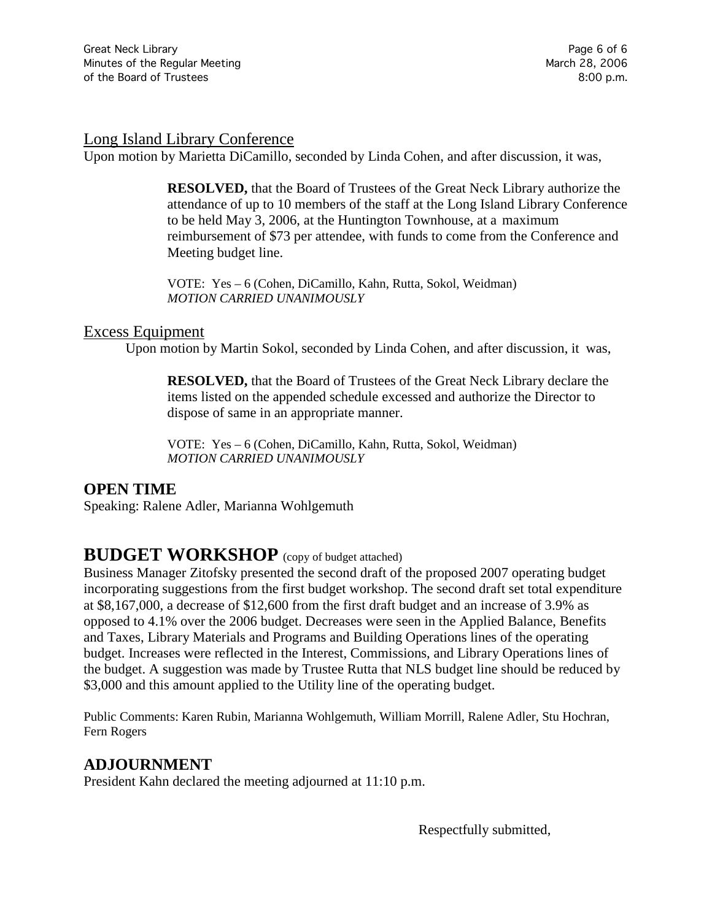#### Long Island Library Conference

Upon motion by Marietta DiCamillo, seconded by Linda Cohen, and after discussion, it was,

**RESOLVED,** that the Board of Trustees of the Great Neck Library authorize the attendance of up to 10 members of the staff at the Long Island Library Conference to be held May 3, 2006, at the Huntington Townhouse, at a maximum reimbursement of \$73 per attendee, with funds to come from the Conference and Meeting budget line.

VOTE:Yes – 6 (Cohen, DiCamillo, Kahn, Rutta, Sokol, Weidman) *MOTION CARRIED UNANIMOUSLY*

#### Excess Equipment

Upon motion by Martin Sokol, seconded by Linda Cohen, and after discussion, it was,

**RESOLVED,** that the Board of Trustees of the Great Neck Library declare the items listed on the appended schedule excessed and authorize the Director to dispose of same in an appropriate manner.

VOTE:Yes – 6 (Cohen, DiCamillo, Kahn, Rutta, Sokol, Weidman) *MOTION CARRIED UNANIMOUSLY*

### **OPEN TIME**

Speaking: Ralene Adler, Marianna Wohlgemuth

# **BUDGET WORKSHOP** (copy of budget attached)

Business Manager Zitofsky presented the second draft of the proposed 2007 operating budget incorporating suggestions from the first budget workshop. The second draft set total expenditure at \$8,167,000, a decrease of \$12,600 from the first draft budget and an increase of 3.9% as opposed to 4.1% over the 2006 budget. Decreases were seen in the Applied Balance, Benefits and Taxes, Library Materials and Programs and Building Operations lines of the operating budget. Increases were reflected in the Interest, Commissions, and Library Operations lines of the budget. A suggestion was made by Trustee Rutta that NLS budget line should be reduced by \$3,000 and this amount applied to the Utility line of the operating budget.

Public Comments: Karen Rubin, Marianna Wohlgemuth, William Morrill, Ralene Adler, Stu Hochran, Fern Rogers

### **ADJOURNMENT**

President Kahn declared the meeting adjourned at 11:10 p.m.

Respectfully submitted,